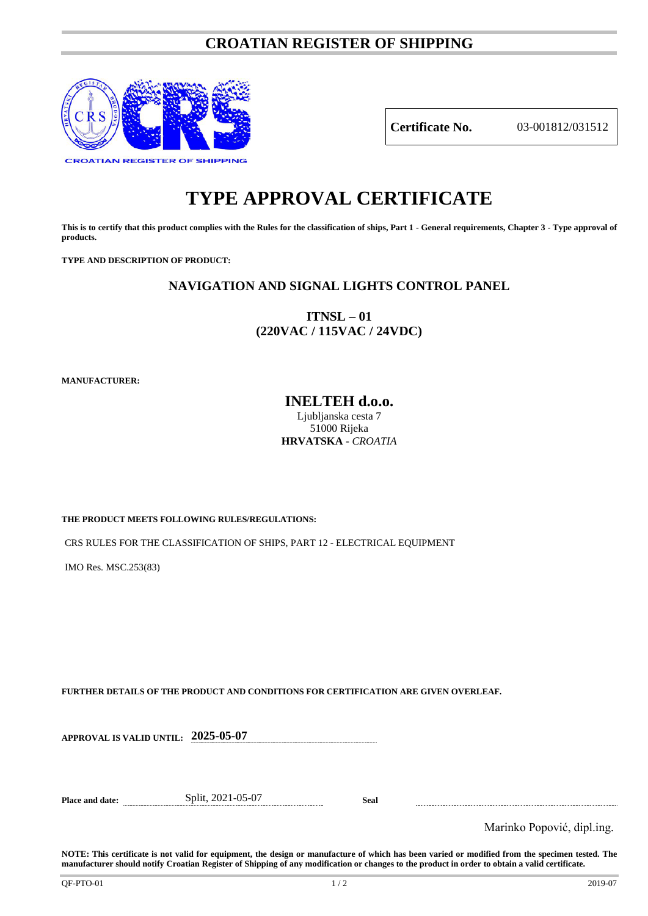## **CROATIAN REGISTER OF SHIPPING**



**Certificate No.** 03-001812/031512

# **TYPE APPROVAL CERTIFICATE**

**This is to certify that this product complies with the Rules for the classification of ships, Part 1 - General requirements, Chapter 3 - Type approval of products.**

**TYPE AND DESCRIPTION OF PRODUCT:** 

## **NAVIGATION AND SIGNAL LIGHTS CONTROL PANEL**

**ITNSL – 01 (220VAC / 115VAC / 24VDC)**

**MANUFACTURER:**

**INELTEH d.o.o.** Ljubljanska cesta 7 51000 Rijeka **HRVATSKA** - *CROATIA*

**THE PRODUCT MEETS FOLLOWING RULES/REGULATIONS:**

CRS RULES FOR THE CLASSIFICATION OF SHIPS, PART 12 - ELECTRICAL EQUIPMENT

IMO Res. MSC.253(83)

**FURTHER DETAILS OF THE PRODUCT AND CONDITIONS FOR CERTIFICATION ARE GIVEN OVERLEAF.**

**APPROVAL IS VALID UNTIL: 2025-05-07**

**Place and date:** Split, 2021-05-07 **Seal**

Marinko Popović, dipl.ing.

**NOTE: This certificate is not valid for equipment, the design or manufacture of which has been varied or modified from the specimen tested. The manufacturer should notify Croatian Register of Shipping of any modification or changes to the product in order to obtain a valid certificate.**